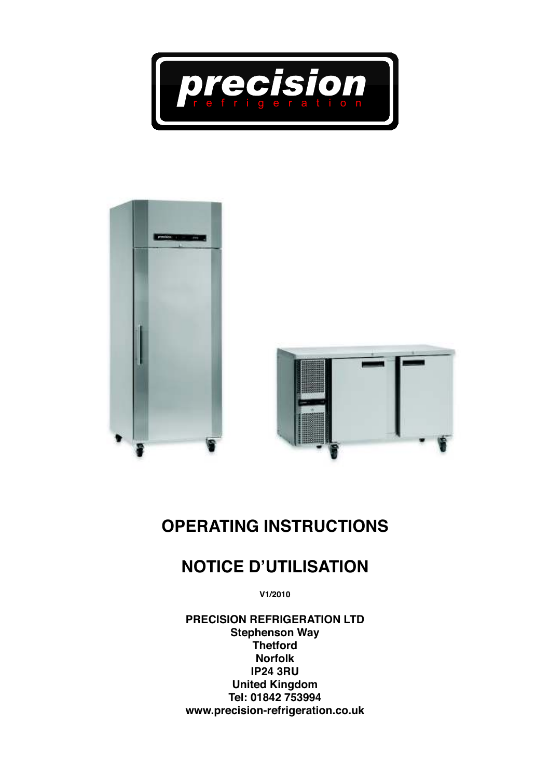



# **OPERATING INSTRUCTIONS**

## **NOTICE D'UTILISATION**

**V1/2010**

**PRECISION REFRIGERATION LTD Stephenson Way Thetford Norfolk IP24 3RU United Kingdom Tel: 01842 753994 www.precision-refrigeration.co.uk**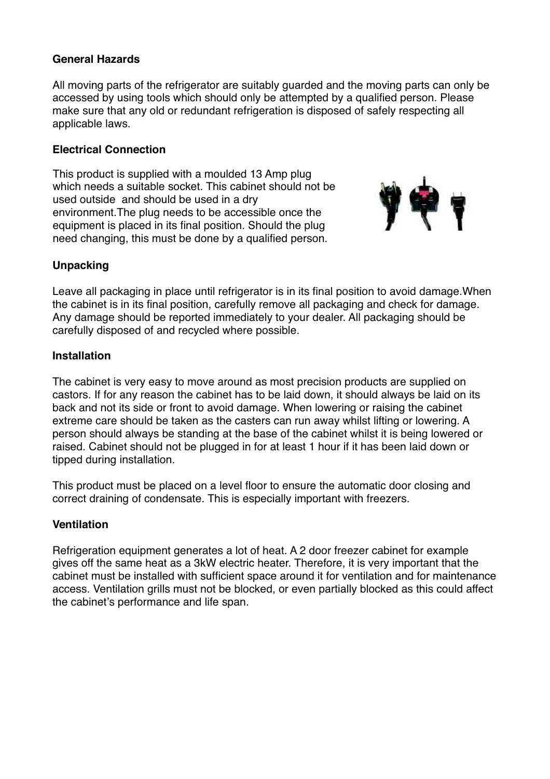#### **General Hazards**

All moving parts of the refrigerator are suitably guarded and the moving parts can only be accessed by using tools which should only be attempted by a qualified person. Please make sure that any old or redundant refrigeration is disposed of safely respecting all applicable laws.

#### **Electrical Connection**

This product is supplied with a moulded 13 Amp plug which needs a suitable socket. This cabinet should not be used outside and should be used in a dry environment.The plug needs to be accessible once the equipment is placed in its final position. Should the plug need changing, this must be done by a qualified person.



#### **Unpacking**

Leave all packaging in place until refrigerator is in its final position to avoid damage.When the cabinet is in its final position, carefully remove all packaging and check for damage. Any damage should be reported immediately to your dealer. All packaging should be carefully disposed of and recycled where possible.

#### **Installation**

The cabinet is very easy to move around as most precision products are supplied on castors. If for any reason the cabinet has to be laid down, it should always be laid on its back and not its side or front to avoid damage. When lowering or raising the cabinet extreme care should be taken as the casters can run away whilst lifting or lowering. A person should always be standing at the base of the cabinet whilst it is being lowered or raised. Cabinet should not be plugged in for at least 1 hour if it has been laid down or tipped during installation.

This product must be placed on a level floor to ensure the automatic door closing and correct draining of condensate. This is especially important with freezers.

#### **Ventilation**

Refrigeration equipment generates a lot of heat. A 2 door freezer cabinet for example gives off the same heat as a 3kW electric heater. Therefore, it is very important that the cabinet must be installed with sufficient space around it for ventilation and for maintenance access. Ventilation grills must not be blocked, or even partially blocked as this could affect the cabinet's performance and life span.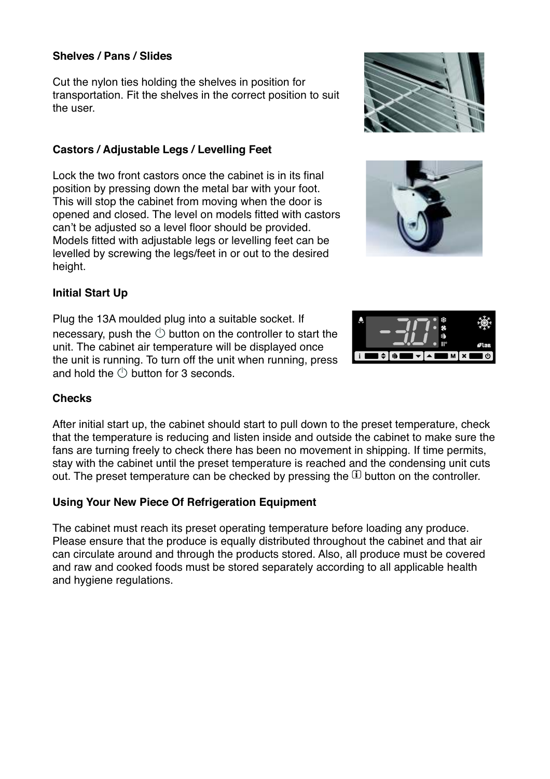#### **Shelves / Pans / Slides**

Cut the nylon ties holding the shelves in position for transportation. Fit the shelves in the correct position to suit the user.

#### **Castors / Adjustable Legs / Levelling Feet**

Lock the two front castors once the cabinet is in its final position by pressing down the metal bar with your foot. This will stop the cabinet from moving when the door is opened and closed. The level on models fitted with castors can't be adjusted so a level floor should be provided. Models fitted with adjustable legs or levelling feet can be levelled by screwing the legs/feet in or out to the desired height.

#### **Initial Start Up**

Plug the 13A moulded plug into a suitable socket. If necessary, push the  $\circlearrowright$  button on the controller to start the unit. The cabinet air temperature will be displayed once the unit is running. To turn off the unit when running, press and hold the  $\bigcirc$  button for 3 seconds.

#### **Checks**

After initial start up, the cabinet should start to pull down to the preset temperature, check that the temperature is reducing and listen inside and outside the cabinet to make sure the fans are turning freely to check there has been no movement in shipping. If time permits, stay with the cabinet until the preset temperature is reached and the condensing unit cuts out. The preset temperature can be checked by pressing the  $\rm \Omega$  t , pressing the  $\mathfrak{U}$  button on the controller.

#### **Using Your New Piece Of Refrigeration Equipment**

The cabinet must reach its preset operating temperature before loading any produce. Please ensure that the produce is equally distributed throughout the cabinet and that air can circulate around and through the products stored. Also, all produce must be covered and raw and cooked foods must be stored separately according to all applicable health and hygiene regulations.





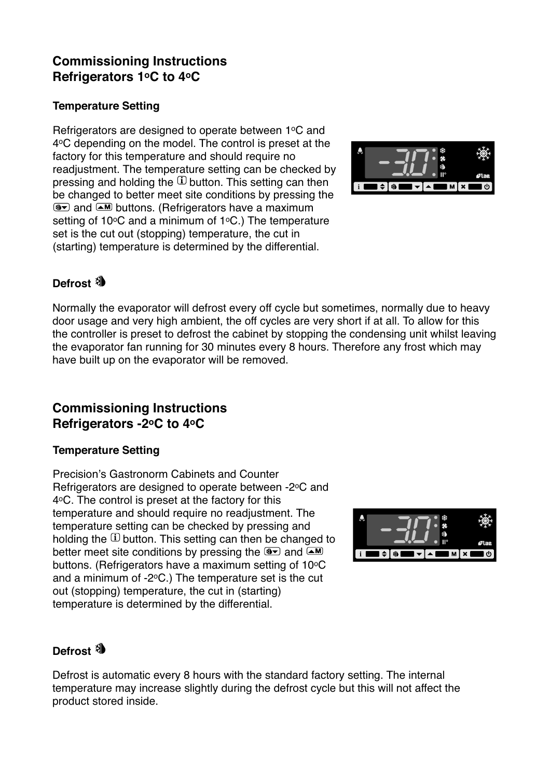## **Commissioning Instructions Refrigerators 1oC to 4oC**

#### **Temperature Setting**

Refrigerators are designed to operate between 1°C and 4<sup>o</sup>C depending on the model. The control is preset at the factory for this temperature and should require no readjustment. The temperature setting can be checked by pressing and holding the  $\mathbb D$  button. This setting can then procently also horizing the conditions by pressing the behanged to better meet site conditions by pressing the and  $\text{M}$  buttons. (Refrigerators have a maximum setting of 10 $\degree$ C and a minimum of 1 $\degree$ C.) The temperature set is the cut out (stopping) temperature, the cut in (starting) temperature is determined by the differential.



## Defrost

Normally the evaporator will defrost every off cycle but sometimes, normally due to heavy door usage and very high ambient, the off cycles are very short if at all. To allow for this the controller is preset to defrost the cabinet by stopping the condensing unit whilst leaving the evaporator fan running for 30 minutes every 8 hours. Therefore any frost which may have built up on the evaporator will be removed.

## **Commissioning Instructions Refrigerators -2oC to 4oC**

#### **Temperature Setting**

Precision's Gastronorm Cabinets and Counter Refrigerators are designed to operate between -2°C and 4°C. The control is preset at the factory for this temperature and should require no readjustment. The temperature setting can be checked by pressing and holding the  $\Omega$  button. This setting can then be changed to better meet site conditions by pressing the  $\overline{M}$  and  $\overline{M}$ buttons. (Refrigerators have a maximum setting of 10°C and a minimum of  $-2$ <sup>o</sup>C.) The temperature set is the cut out (stopping) temperature, the cut in (starting) temperature is determined by the differential.



#### **Defrost**

Defrost is automatic every 8 hours with the standard factory setting. The internal temperature may increase slightly during the defrost cycle but this will not affect the product stored inside.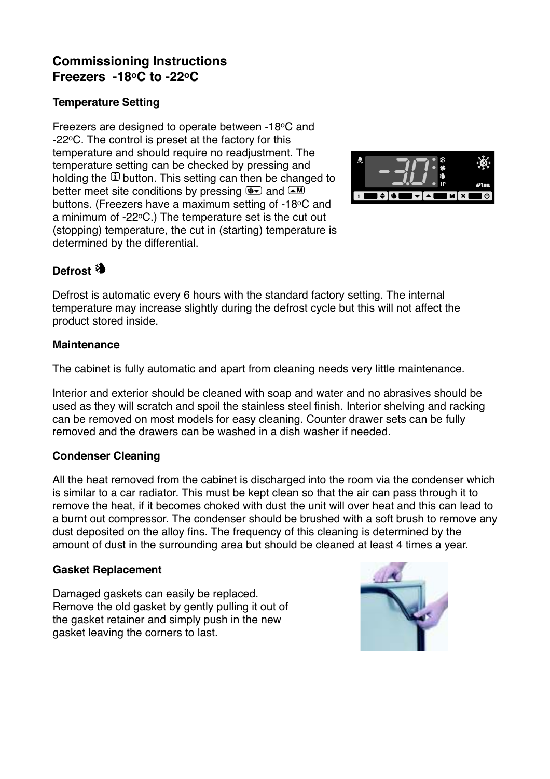## **Commissioning Instructions Freezers -18oC to -22oC**

#### **Temperature Setting**

Freezers are designed to operate between -18°C and -22<sup>o</sup>C. The control is preset at the factory for this temperature and should require no readjustment. The temperature setting can be checked by pressing and holding the  $\Omega$  button. This setting can then be changed to better meet site conditions by pressing  $\overline{M}$  and  $\overline{M}$ buttons. (Freezers have a maximum setting of -18°C and a minimum of -22<sup>o</sup>C.) The temperature set is the cut out (stopping) temperature, the cut in (starting) temperature is determined by the differential.



## **Defrost**

Defrost is automatic every 6 hours with the standard factory setting. The internal temperature may increase slightly during the defrost cycle but this will not affect the product stored inside.

#### **Maintenance**

The cabinet is fully automatic and apart from cleaning needs very little maintenance.

Interior and exterior should be cleaned with soap and water and no abrasives should be used as they will scratch and spoil the stainless steel finish. Interior shelving and racking can be removed on most models for easy cleaning. Counter drawer sets can be fully removed and the drawers can be washed in a dish washer if needed.

#### **Condenser Cleaning**

All the heat removed from the cabinet is discharged into the room via the condenser which is similar to a car radiator. This must be kept clean so that the air can pass through it to remove the heat, if it becomes choked with dust the unit will over heat and this can lead to a burnt out compressor. The condenser should be brushed with a soft brush to remove any dust deposited on the alloy fins. The frequency of this cleaning is determined by the amount of dust in the surrounding area but should be cleaned at least 4 times a year.

#### **Gasket Replacement**

Damaged gaskets can easily be replaced. Remove the old gasket by gently pulling it out of the gasket retainer and simply push in the new gasket leaving the corners to last.

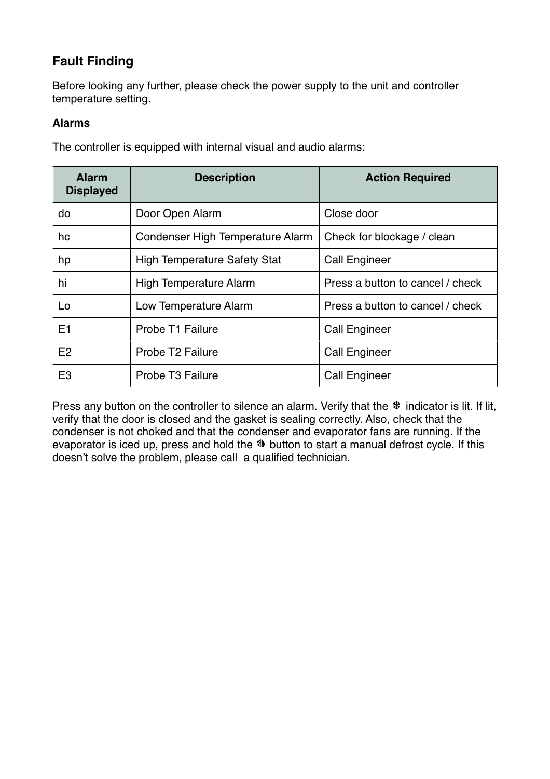## **Fault Finding**

Before looking any further, please check the power supply to the unit and controller temperature setting.

#### **Alarms**

The controller is equipped with internal visual and audio alarms:

| <b>Alarm</b><br><b>Displayed</b> | <b>Description</b>                  | <b>Action Required</b>           |
|----------------------------------|-------------------------------------|----------------------------------|
| do                               | Door Open Alarm                     | Close door                       |
| hc                               | Condenser High Temperature Alarm    | Check for blockage / clean       |
| hp                               | <b>High Temperature Safety Stat</b> | <b>Call Engineer</b>             |
| hi                               | High Temperature Alarm              | Press a button to cancel / check |
| Lo                               | Low Temperature Alarm               | Press a button to cancel / check |
| E1                               | Probe T1 Failure                    | <b>Call Engineer</b>             |
| E <sub>2</sub>                   | Probe T <sub>2</sub> Failure        | <b>Call Engineer</b>             |
| E <sub>3</sub>                   | Probe T <sub>3</sub> Failure        | <b>Call Engineer</b>             |

Press any button on the controller to silence an alarm. Verify that the \* indicator is lit. If lit, verify that the door is closed and the gasket is sealing correctly. Also, check that the condenser is not choked and that the condenser and evaporator fans are running. If the evaporator is iced up, press and hold the  $\mathbb N$  button to start a manual defrost cycle. If this doesn't solve the problem, please call a qualified technician.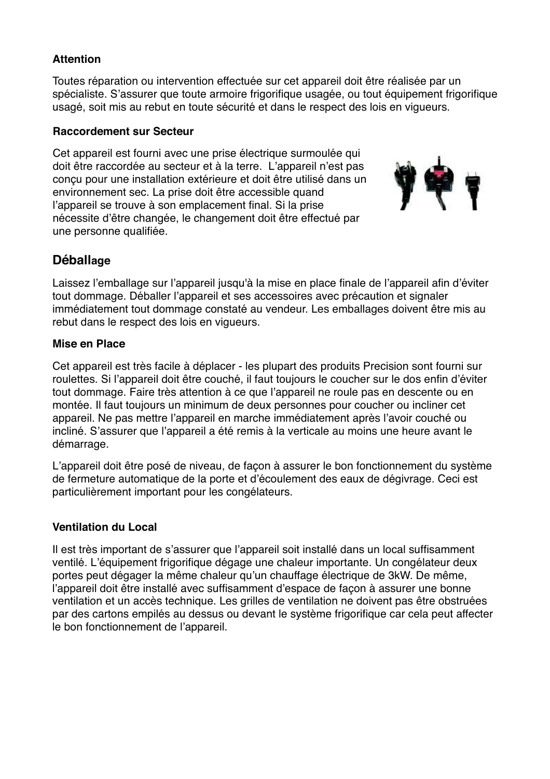#### **Attention**

Toutes réparation ou intervention effectuée sur cet appareil doit être réalisée par un spécialiste. S'assurer que toute armoire frigorifique usagée, ou tout équipement frigorifique usagé, soit mis au rebut en toute sécurité et dans le respect des lois en vigueurs.

#### **Raccordement sur Secteur**

Cet appareil est fourni avec une prise électrique surmoulée qui doit être raccordée au secteur et à la terre. L'appareil n'est pas conçu pour une installation extérieure et doit être utilisé dans un environnement sec. La prise doit être accessible quand l'appareil se trouve à son emplacement final. Si la prise nécessite d'être changée, le changement doit être effectué par une personne qualifiée.



#### **Déballage**

Laissez l'emballage sur l'appareil jusqu'à la mise en place finale de l'appareil afin d'éviter tout dommage. Déballer l'appareil et ses accessoires avec précaution et signaler immédiatement tout dommage constaté au vendeur. Les emballages doivent être mis au rebut dans le respect des lois en vigueurs.

#### **Mise en Place**

Cet appareil est très facile à déplacer - les plupart des produits Precision sont fourni sur roulettes. Si l'appareil doit être couché, il faut toujours le coucher sur le dos enfin d'éviter tout dommage. Faire très attention à ce que l'appareil ne roule pas en descente ou en montée. Il faut toujours un minimum de deux personnes pour coucher ou incliner cet appareil. Ne pas mettre l'appareil en marche immédiatement après l'avoir couché ou incliné. S'assurer que l'appareil a été remis à la verticale au moins une heure avant le démarrage.

L'appareil doit être posé de niveau, de façon à assurer le bon fonctionnement du système de fermeture automatique de la porte et d'écoulement des eaux de dégivrage. Ceci est particulièrement important pour les congélateurs.

#### **Ventilation du Local**

Il est très important de s'assurer que l'appareil soit installé dans un local suffisamment ventilé. L'équipement frigorifique dégage une chaleur importante. Un congélateur deux portes peut dégager la même chaleur qu'un chauffage électrique de 3kW. De même, l'appareil doit être installé avec suffisamment d'espace de façon à assurer une bonne ventilation et un accès technique. Les grilles de ventilation ne doivent pas être obstruées par des cartons empilés au dessus ou devant le système frigorifique car cela peut affecter le bon fonctionnement de l'appareil.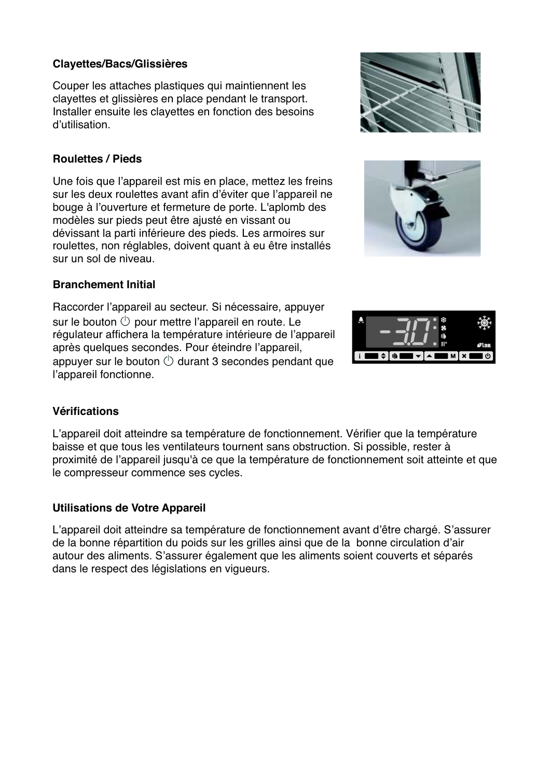#### **Clayettes/Bacs/Glissières**

Couper les attaches plastiques qui maintiennent les clayettes et glissières en place pendant le transport. Installer ensuite les clayettes en fonction des besoins d'utilisation.

#### **Roulettes / Pieds**

Une fois que l'appareil est mis en place, mettez les freins sur les deux roulettes avant afin d'éviter que l'appareil ne bouge à l'ouverture et fermeture de porte. L'aplomb des modèles sur pieds peut être ajusté en vissant ou dévissant la parti inférieure des pieds. Les armoires sur roulettes, non réglables, doivent quant à eu être installés sur un sol de niveau.

#### **Branchement Initial**

Raccorder l'appareil au secteur. Si nécessaire, appuyer sur le bouton  $\circlearrowright$  pour mettre l'appareil en route. Le régulateur affichera la température intérieure de l'appareil après quelques secondes. Pour éteindre l'appareil, appuyer sur le bouton  $\bigcirc$  durant 3 secondes pendant que l'appareil fonctionne.

#### **Vérifications**

L'appareil doit atteindre sa température de fonctionnement. Vérifier que la température baisse et que tous les ventilateurs tournent sans obstruction. Si possible, rester à proximité de l'appareil jusqu'à ce que la température de fonctionnement soit atteinte et que le compresseur commence ses cycles.

#### **Utilisations de Votre Appareil**

L'appareil doit atteindre sa température de fonctionnement avant d'être chargé. S'assurer de la bonne répartition du poids sur les grilles ainsi que de la bonne circulation d'air autour des aliments. S'assurer également que les aliments soient couverts et séparés dans le respect des législations en vigueurs.





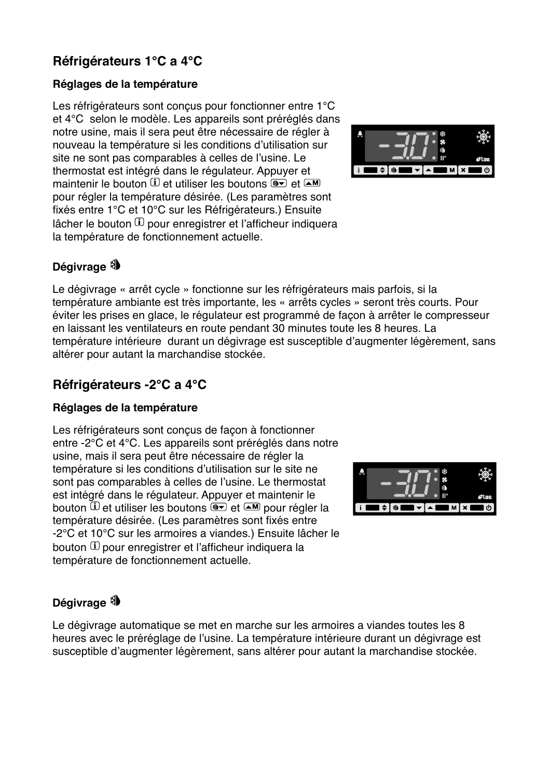## **Réfrigérateurs 1°C a 4°C**

#### **Réglages de la température**

Les réfrigérateurs sont conçus pour fonctionner entre 1°C et 4°C selon le modèle. Les appareils sont préréglés dans notre usine, mais il sera peut être nécessaire de régler à nouveau la température si les conditions d'utilisation sur site ne sont pas comparables à celles de l'usine. Le thermostat est intégré dans le régulateur. Appuyer et maintenir le bouton  $\mathbf D$  et utiliser les boutons  $\mathbf P$  et  $\mathbf \Delta M$ mante de data to be displayed to be designed.<br>Pour régler la température désirée. (Les paramètres sont fixés entre 1°C et 10°C sur les Réfrigérateurs.) Ensuite lâcher le bouton  $\mathbf \Omega$  pour enregistrer et l'afficheur indiquera select to be die the peak of the displayed of the annual transmission of the displayed of the transmission of the transmission of the state of the state of the state of the state of the state of the state of the state of t



## Dégivrage<sup>3</sup>

Le dégivrage « arrêt cycle » fonctionne sur les réfrigérateurs mais parfois, si la température ambiante est très importante, les « arrêts cycles » seront très courts. Pour éviter les prises en glace, le régulateur est programmé de façon à arrêter le compresseur en laissant les ventilateurs en route pendant 30 minutes toute les 8 heures. La température intérieure durant un dégivrage est susceptible d'augmenter légèrement, sans altérer pour autant la marchandise stockée.

## **Réfrigérateurs -2°C a 4°C**

#### **Réglages de la température**

Les réfrigérateurs sont conçus de façon à fonctionner entre -2°C et 4°C. Les appareils sont préréglés dans notre usine, mais il sera peut être nécessaire de régler la température si les conditions d'utilisation sur le site ne sont pas comparables à celles de l'usine. Le thermostat est intégré dans le régulateur. Appuyer et maintenir le bouton <sup>①</sup> et utiliser les boutons <u>®▼</u> et — pour régler la select the data to be displayed. température désirée. (Les paramètres sont fixés entre -2°C et 10°C sur les armoires a viandes.) Ensuite lâcher le bouton  $\mathbf \Omega$  pour enregistrer et l'afficheur indiquera la select the data to be displayed. température de fonctionnement actuelle.

# $\blacksquare$  M  $\blacksquare$ ∎≐Is⊾

## **Dégivrage**

Le dégivrage automatique se met en marche sur les armoires a viandes toutes les 8 heures avec le préréglage de l'usine. La température intérieure durant un dégivrage est susceptible d'augmenter légèrement, sans altérer pour autant la marchandise stockée.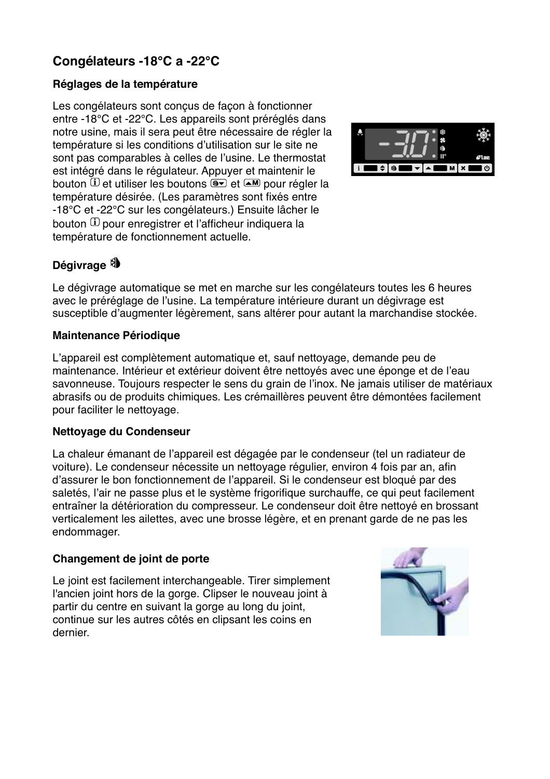## **Congélateurs -18°C a -22°C**

#### **Réglages de la température**

Les congélateurs sont conçus de façon à fonctionner entre -18°C et -22°C. Les appareils sont préréglés dans notre usine, mais il sera peut être nécessaire de régler la température si les conditions d'utilisation sur le site ne sont pas comparables à celles de l'usine. Le thermostat est intégré dans le régulateur. Appuyer et maintenir le bouton  $\textcircled{\textsc{i}}$  et utiliser les boutons et pour régler la select the data to be displayed. température désirée. (Les paramètres sont fixés entre -18°C et -22°C sur les congélateurs.) Ensuite lâcher le **Access to menu and information displayed.** bouton  $\mathbf \Omega$  pour enregistrer et l'afficheur indiquera la select the data to be displayed. température de fonctionnement actuelle.



#### Dégivrage<sup>3</sup>

Le dégivrage automatique se met en marche sur les congélateurs toutes les 6 heures avec le préréglage de l'usine. La température intérieure durant un dégivrage est susceptible d'augmenter légèrement, sans altérer pour autant la marchandise stockée.

#### **Maintenance Périodique**

L'appareil est complètement automatique et, sauf nettoyage, demande peu de maintenance. Intérieur et extérieur doivent être nettoyés avec une éponge et de l'eau savonneuse. Toujours respecter le sens du grain de l'inox. Ne jamais utiliser de matériaux abrasifs ou de produits chimiques. Les crémaillères peuvent être démontées facilement pour faciliter le nettoyage.

#### **Nettoyage du Condenseur**

La chaleur émanant de l'appareil est dégagée par le condenseur (tel un radiateur de voiture). Le condenseur nécessite un nettoyage régulier, environ 4 fois par an, afin d'assurer le bon fonctionnement de l'appareil. Si le condenseur est bloqué par des saletés, l'air ne passe plus et le système frigorifique surchauffe, ce qui peut facilement entraîner la détérioration du compresseur. Le condenseur doit être nettoyé en brossant verticalement les ailettes, avec une brosse légère, et en prenant garde de ne pas les endommager.

#### **Changement de joint de porte**

Le joint est facilement interchangeable. Tirer simplement l'ancien joint hors de la gorge. Clipser le nouveau joint à partir du centre en suivant la gorge au long du joint, continue sur les autres côtés en clipsant les coins en dernier.

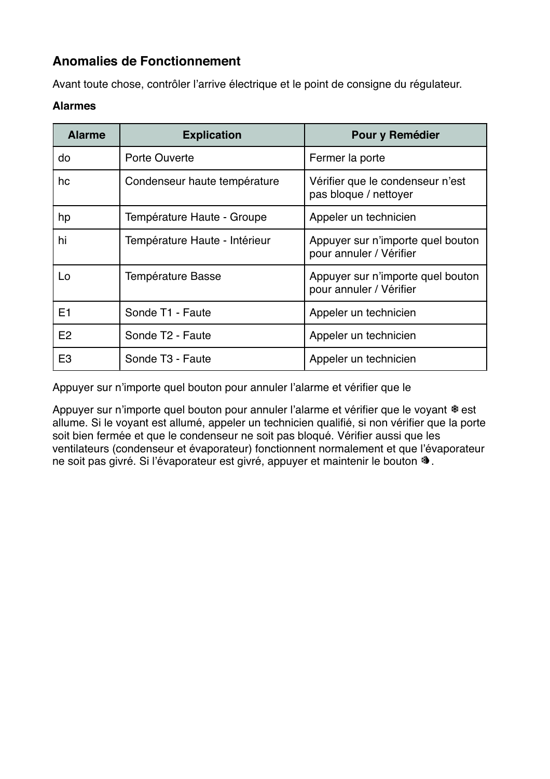## **Anomalies de Fonctionnement**

Avant toute chose, contrôler l'arrive électrique et le point de consigne du régulateur.

#### **Alarmes**

| <b>Alarme</b>  | <b>Explication</b>            | Pour y Remédier                                              |
|----------------|-------------------------------|--------------------------------------------------------------|
| do             | Porte Ouverte                 | Fermer la porte                                              |
| hc             | Condenseur haute température  | Vérifier que le condenseur n'est<br>pas bloque / nettoyer    |
| hp             | Température Haute - Groupe    | Appeler un technicien                                        |
| hi             | Température Haute - Intérieur | Appuyer sur n'importe quel bouton<br>pour annuler / Vérifier |
| Lo             | Température Basse             | Appuyer sur n'importe quel bouton<br>pour annuler / Vérifier |
| E1             | Sonde T1 - Faute              | Appeler un technicien                                        |
| E2             | Sonde T <sub>2</sub> - Faute  | Appeler un technicien                                        |
| E <sub>3</sub> | Sonde T <sub>3</sub> - Faute  | Appeler un technicien                                        |

Appuyer sur n'importe quel bouton pour annuler l'alarme et vérifier que le

Appuyer sur n'importe quel bouton pour annuler l'alarme et vérifier que le voyant \*est allume. Si le voyant est allumé, appeler un technicien qualifié, si non vérifier que la porte soit bien fermée et que le condenseur ne soit pas bloqué. Vérifier aussi que les ventilateurs (condenseur et évaporateur) fonctionnent normalement et que l'évaporateur ne soit pas givré. Si l'évaporateur est givré, appuyer et maintenir le bouton <sup>ৠ</sup>.